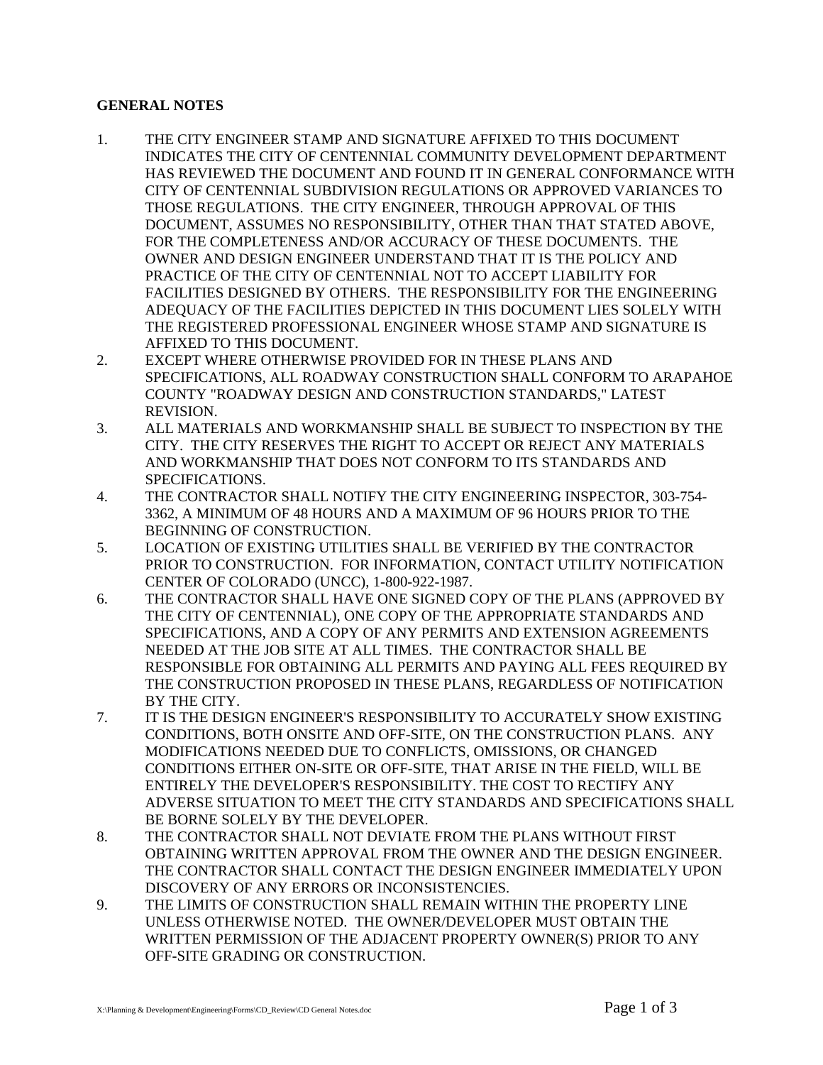## **GENERAL NOTES**

- 1. THE CITY ENGINEER STAMP AND SIGNATURE AFFIXED TO THIS DOCUMENT INDICATES THE CITY OF CENTENNIAL COMMUNITY DEVELOPMENT DEPARTMENT HAS REVIEWED THE DOCUMENT AND FOUND IT IN GENERAL CONFORMANCE WITH CITY OF CENTENNIAL SUBDIVISION REGULATIONS OR APPROVED VARIANCES TO THOSE REGULATIONS. THE CITY ENGINEER, THROUGH APPROVAL OF THIS DOCUMENT, ASSUMES NO RESPONSIBILITY, OTHER THAN THAT STATED ABOVE, FOR THE COMPLETENESS AND/OR ACCURACY OF THESE DOCUMENTS. THE OWNER AND DESIGN ENGINEER UNDERSTAND THAT IT IS THE POLICY AND PRACTICE OF THE CITY OF CENTENNIAL NOT TO ACCEPT LIABILITY FOR FACILITIES DESIGNED BY OTHERS. THE RESPONSIBILITY FOR THE ENGINEERING ADEQUACY OF THE FACILITIES DEPICTED IN THIS DOCUMENT LIES SOLELY WITH THE REGISTERED PROFESSIONAL ENGINEER WHOSE STAMP AND SIGNATURE IS AFFIXED TO THIS DOCUMENT.
- 2. EXCEPT WHERE OTHERWISE PROVIDED FOR IN THESE PLANS AND SPECIFICATIONS, ALL ROADWAY CONSTRUCTION SHALL CONFORM TO ARAPAHOE COUNTY "ROADWAY DESIGN AND CONSTRUCTION STANDARDS," LATEST REVISION.
- 3. ALL MATERIALS AND WORKMANSHIP SHALL BE SUBJECT TO INSPECTION BY THE CITY. THE CITY RESERVES THE RIGHT TO ACCEPT OR REJECT ANY MATERIALS AND WORKMANSHIP THAT DOES NOT CONFORM TO ITS STANDARDS AND SPECIFICATIONS.
- 4. THE CONTRACTOR SHALL NOTIFY THE CITY ENGINEERING INSPECTOR, 303-754- 3362, A MINIMUM OF 48 HOURS AND A MAXIMUM OF 96 HOURS PRIOR TO THE BEGINNING OF CONSTRUCTION.
- 5. LOCATION OF EXISTING UTILITIES SHALL BE VERIFIED BY THE CONTRACTOR PRIOR TO CONSTRUCTION. FOR INFORMATION, CONTACT UTILITY NOTIFICATION CENTER OF COLORADO (UNCC), 1-800-922-1987.
- 6. THE CONTRACTOR SHALL HAVE ONE SIGNED COPY OF THE PLANS (APPROVED BY THE CITY OF CENTENNIAL), ONE COPY OF THE APPROPRIATE STANDARDS AND SPECIFICATIONS, AND A COPY OF ANY PERMITS AND EXTENSION AGREEMENTS NEEDED AT THE JOB SITE AT ALL TIMES. THE CONTRACTOR SHALL BE RESPONSIBLE FOR OBTAINING ALL PERMITS AND PAYING ALL FEES REQUIRED BY THE CONSTRUCTION PROPOSED IN THESE PLANS, REGARDLESS OF NOTIFICATION BY THE CITY.
- 7. IT IS THE DESIGN ENGINEER'S RESPONSIBILITY TO ACCURATELY SHOW EXISTING CONDITIONS, BOTH ONSITE AND OFF-SITE, ON THE CONSTRUCTION PLANS. ANY MODIFICATIONS NEEDED DUE TO CONFLICTS, OMISSIONS, OR CHANGED CONDITIONS EITHER ON-SITE OR OFF-SITE, THAT ARISE IN THE FIELD, WILL BE ENTIRELY THE DEVELOPER'S RESPONSIBILITY. THE COST TO RECTIFY ANY ADVERSE SITUATION TO MEET THE CITY STANDARDS AND SPECIFICATIONS SHALL BE BORNE SOLELY BY THE DEVELOPER.
- 8. THE CONTRACTOR SHALL NOT DEVIATE FROM THE PLANS WITHOUT FIRST OBTAINING WRITTEN APPROVAL FROM THE OWNER AND THE DESIGN ENGINEER. THE CONTRACTOR SHALL CONTACT THE DESIGN ENGINEER IMMEDIATELY UPON DISCOVERY OF ANY ERRORS OR INCONSISTENCIES.
- 9. THE LIMITS OF CONSTRUCTION SHALL REMAIN WITHIN THE PROPERTY LINE UNLESS OTHERWISE NOTED. THE OWNER/DEVELOPER MUST OBTAIN THE WRITTEN PERMISSION OF THE ADJACENT PROPERTY OWNER(S) PRIOR TO ANY OFF-SITE GRADING OR CONSTRUCTION.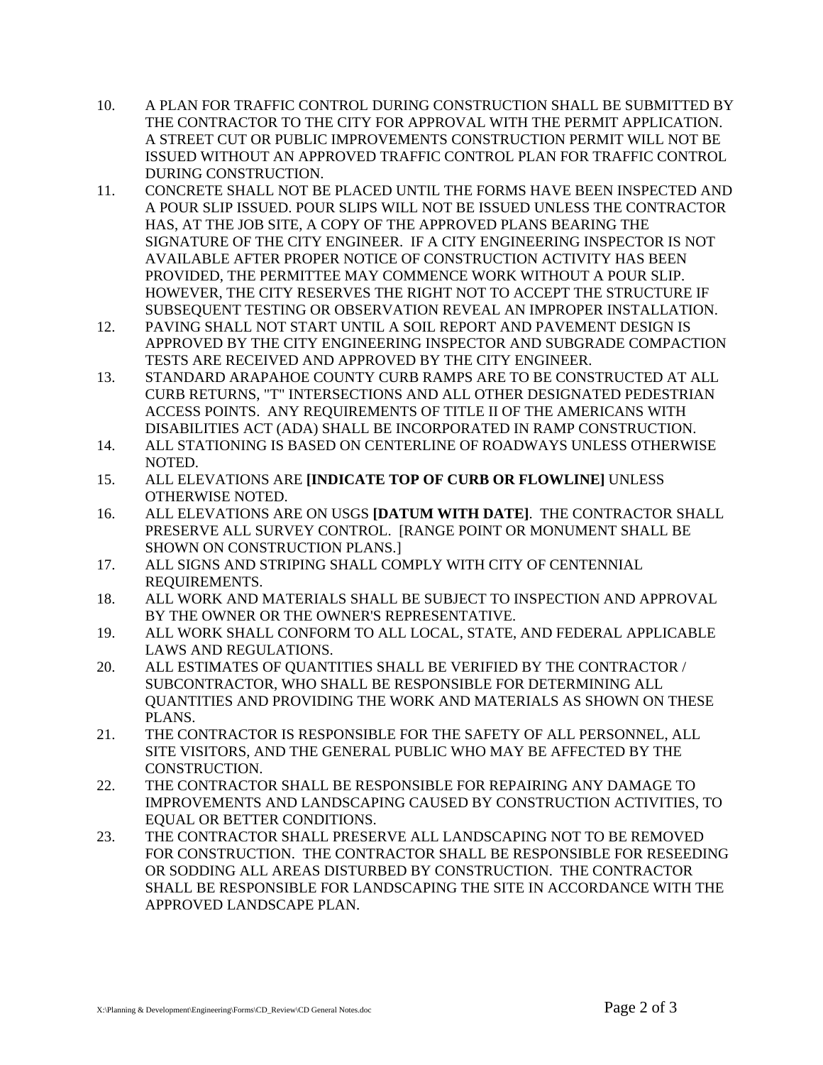- 10. A PLAN FOR TRAFFIC CONTROL DURING CONSTRUCTION SHALL BE SUBMITTED BY THE CONTRACTOR TO THE CITY FOR APPROVAL WITH THE PERMIT APPLICATION. A STREET CUT OR PUBLIC IMPROVEMENTS CONSTRUCTION PERMIT WILL NOT BE ISSUED WITHOUT AN APPROVED TRAFFIC CONTROL PLAN FOR TRAFFIC CONTROL DURING CONSTRUCTION.
- 11. CONCRETE SHALL NOT BE PLACED UNTIL THE FORMS HAVE BEEN INSPECTED AND A POUR SLIP ISSUED. POUR SLIPS WILL NOT BE ISSUED UNLESS THE CONTRACTOR HAS, AT THE JOB SITE, A COPY OF THE APPROVED PLANS BEARING THE SIGNATURE OF THE CITY ENGINEER. IF A CITY ENGINEERING INSPECTOR IS NOT AVAILABLE AFTER PROPER NOTICE OF CONSTRUCTION ACTIVITY HAS BEEN PROVIDED, THE PERMITTEE MAY COMMENCE WORK WITHOUT A POUR SLIP. HOWEVER, THE CITY RESERVES THE RIGHT NOT TO ACCEPT THE STRUCTURE IF SUBSEQUENT TESTING OR OBSERVATION REVEAL AN IMPROPER INSTALLATION.
- 12. PAVING SHALL NOT START UNTIL A SOIL REPORT AND PAVEMENT DESIGN IS APPROVED BY THE CITY ENGINEERING INSPECTOR AND SUBGRADE COMPACTION TESTS ARE RECEIVED AND APPROVED BY THE CITY ENGINEER.
- 13. STANDARD ARAPAHOE COUNTY CURB RAMPS ARE TO BE CONSTRUCTED AT ALL CURB RETURNS, "T" INTERSECTIONS AND ALL OTHER DESIGNATED PEDESTRIAN ACCESS POINTS. ANY REQUIREMENTS OF TITLE II OF THE AMERICANS WITH DISABILITIES ACT (ADA) SHALL BE INCORPORATED IN RAMP CONSTRUCTION.
- 14. ALL STATIONING IS BASED ON CENTERLINE OF ROADWAYS UNLESS OTHERWISE NOTED.
- 15. ALL ELEVATIONS ARE **[INDICATE TOP OF CURB OR FLOWLINE]** UNLESS OTHERWISE NOTED.
- 16. ALL ELEVATIONS ARE ON USGS **[DATUM WITH DATE]**. THE CONTRACTOR SHALL PRESERVE ALL SURVEY CONTROL. [RANGE POINT OR MONUMENT SHALL BE SHOWN ON CONSTRUCTION PLANS.]
- 17. ALL SIGNS AND STRIPING SHALL COMPLY WITH CITY OF CENTENNIAL REQUIREMENTS.
- 18. ALL WORK AND MATERIALS SHALL BE SUBJECT TO INSPECTION AND APPROVAL BY THE OWNER OR THE OWNER'S REPRESENTATIVE.
- 19. ALL WORK SHALL CONFORM TO ALL LOCAL, STATE, AND FEDERAL APPLICABLE LAWS AND REGULATIONS.
- 20. ALL ESTIMATES OF QUANTITIES SHALL BE VERIFIED BY THE CONTRACTOR / SUBCONTRACTOR, WHO SHALL BE RESPONSIBLE FOR DETERMINING ALL QUANTITIES AND PROVIDING THE WORK AND MATERIALS AS SHOWN ON THESE PLANS.
- 21. THE CONTRACTOR IS RESPONSIBLE FOR THE SAFETY OF ALL PERSONNEL, ALL SITE VISITORS, AND THE GENERAL PUBLIC WHO MAY BE AFFECTED BY THE CONSTRUCTION.
- 22. THE CONTRACTOR SHALL BE RESPONSIBLE FOR REPAIRING ANY DAMAGE TO IMPROVEMENTS AND LANDSCAPING CAUSED BY CONSTRUCTION ACTIVITIES, TO EQUAL OR BETTER CONDITIONS.
- 23. THE CONTRACTOR SHALL PRESERVE ALL LANDSCAPING NOT TO BE REMOVED FOR CONSTRUCTION. THE CONTRACTOR SHALL BE RESPONSIBLE FOR RESEEDING OR SODDING ALL AREAS DISTURBED BY CONSTRUCTION. THE CONTRACTOR SHALL BE RESPONSIBLE FOR LANDSCAPING THE SITE IN ACCORDANCE WITH THE APPROVED LANDSCAPE PLAN.